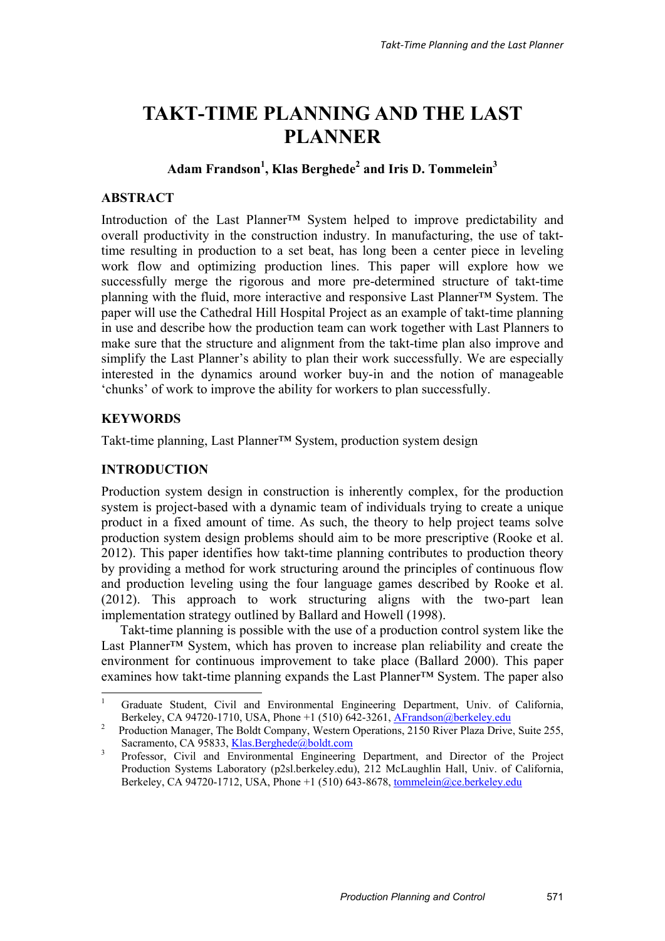# **TAKT-TIME PLANNING AND THE LAST PLANNER**

# $\mathbf{Adam\,Frandson}^{1}, \mathbf{Klas\,Berghede}^{2}$  and Iris **D. Tommelein** $^{3}$

## **ABSTRACT**

Introduction of the Last Planner™ System helped to improve predictability and overall productivity in the construction industry. In manufacturing, the use of takttime resulting in production to a set beat, has long been a center piece in leveling work flow and optimizing production lines. This paper will explore how we successfully merge the rigorous and more pre-determined structure of takt-time planning with the fluid, more interactive and responsive Last Planner™ System. The paper will use the Cathedral Hill Hospital Project as an example of takt-time planning in use and describe how the production team can work together with Last Planners to make sure that the structure and alignment from the takt-time plan also improve and simplify the Last Planner's ability to plan their work successfully. We are especially interested in the dynamics around worker buy-in and the notion of manageable 'chunks' of work to improve the ability for workers to plan successfully.

## **KEYWORDS**

-

Takt-time planning, Last Planner™ System, production system design

## **INTRODUCTION**

Production system design in construction is inherently complex, for the production system is project-based with a dynamic team of individuals trying to create a unique product in a fixed amount of time. As such, the theory to help project teams solve production system design problems should aim to be more prescriptive (Rooke et al. 2012). This paper identifies how takt-time planning contributes to production theory by providing a method for work structuring around the principles of continuous flow and production leveling using the four language games described by Rooke et al. (2012). This approach to work structuring aligns with the two-part lean implementation strategy outlined by Ballard and Howell (1998).

Takt-time planning is possible with the use of a production control system like the Last Planner™ System, which has proven to increase plan reliability and create the environment for continuous improvement to take place (Ballard 2000). This paper examines how takt-time planning expands the Last Planner™ System. The paper also

<sup>1</sup> Graduate Student, Civil and Environmental Engineering Department, Univ. of California, Berkeley, CA 94720-1710, USA, Phone +1 (510) 642-3261, <u>AFrandson@berkeley.edu</u><br><sup>2</sup> Production Manager, The Boldt Company, Western Operations, 2150 River Plaza Drive

Production Manager, The Boldt Company, Western Operations, 2150 River Plaza Drive, Suite 255, Sacramento, CA 95833, Klas.Berghede@boldt.com

<sup>3</sup> Professor, Civil and Environmental Engineering Department, and Director of the Project Production Systems Laboratory (p2sl.berkeley.edu), 212 McLaughlin Hall, Univ. of California, Berkeley, CA 94720-1712, USA, Phone +1 (510) 643-8678, tommelein@ce.berkeley.edu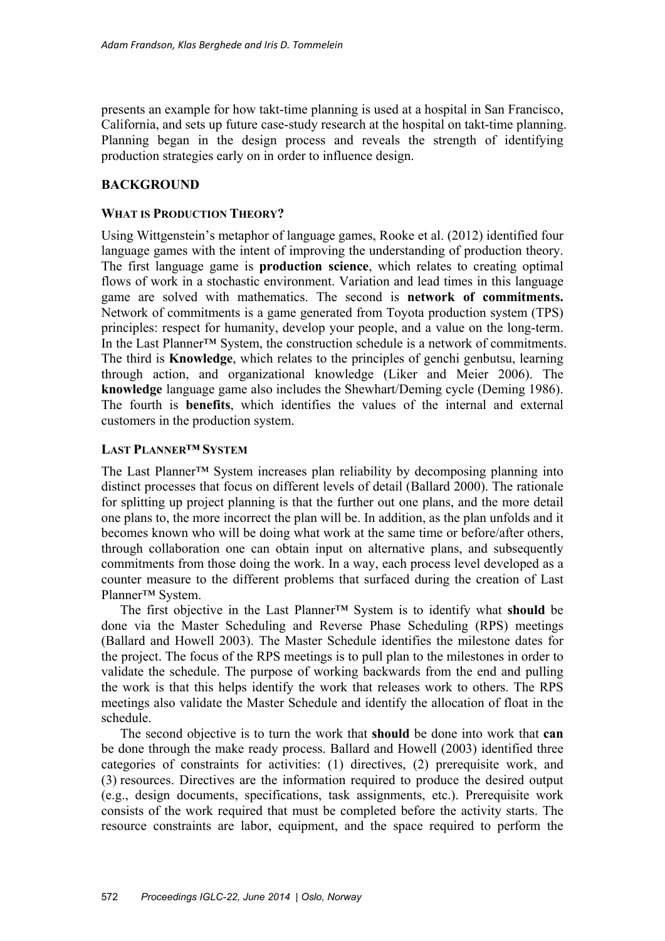presents an example for how takt-time planning is used at a hospital in San Francisco, California, and sets up future case-study research at the hospital on takt-time planning. Planning began in the design process and reveals the strength of identifying production strategies early on in order to influence design.

## **BACKGROUND**

## **WHAT IS PRODUCTION THEORY?**

Using Wittgenstein's metaphor of language games, Rooke et al. (2012) identified four language games with the intent of improving the understanding of production theory. The first language game is **production science**, which relates to creating optimal flows of work in a stochastic environment. Variation and lead times in this language game are solved with mathematics. The second is **network of commitments.** Network of commitments is a game generated from Toyota production system (TPS) principles: respect for humanity, develop your people, and a value on the long-term. In the Last Planner™ System, the construction schedule is a network of commitments. The third is **Knowledge**, which relates to the principles of genchi genbutsu, learning through action, and organizational knowledge (Liker and Meier 2006). The **knowledge** language game also includes the Shewhart/Deming cycle (Deming 1986). The fourth is **benefits**, which identifies the values of the internal and external customers in the production system.

## **LAST PLANNER™ SYSTEM**

The Last Planner™ System increases plan reliability by decomposing planning into distinct processes that focus on different levels of detail (Ballard 2000). The rationale for splitting up project planning is that the further out one plans, and the more detail one plans to, the more incorrect the plan will be. In addition, as the plan unfolds and it becomes known who will be doing what work at the same time or before/after others, through collaboration one can obtain input on alternative plans, and subsequently commitments from those doing the work. In a way, each process level developed as a counter measure to the different problems that surfaced during the creation of Last Planner™ System.

The first objective in the Last Planner™ System is to identify what **should** be done via the Master Scheduling and Reverse Phase Scheduling (RPS) meetings (Ballard and Howell 2003). The Master Schedule identifies the milestone dates for the project. The focus of the RPS meetings is to pull plan to the milestones in order to validate the schedule. The purpose of working backwards from the end and pulling the work is that this helps identify the work that releases work to others. The RPS meetings also validate the Master Schedule and identify the allocation of float in the schedule.

The second objective is to turn the work that **should** be done into work that **can** be done through the make ready process. Ballard and Howell (2003) identified three categories of constraints for activities: (1) directives, (2) prerequisite work, and (3) resources. Directives are the information required to produce the desired output (e.g., design documents, specifications, task assignments, etc.). Prerequisite work consists of the work required that must be completed before the activity starts. The resource constraints are labor, equipment, and the space required to perform the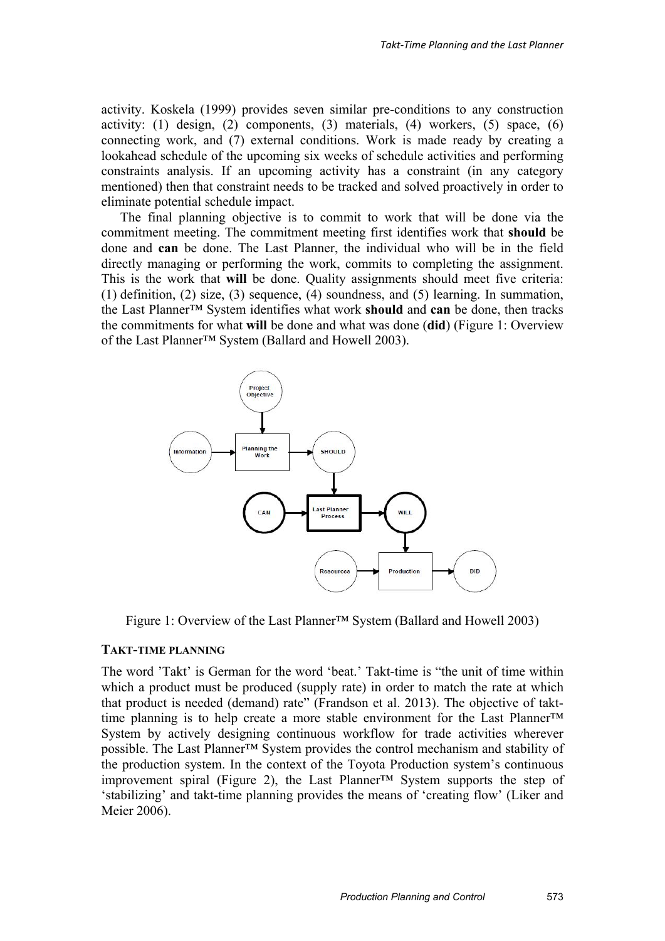activity. Koskela (1999) provides seven similar pre-conditions to any construction activity: (1) design, (2) components, (3) materials, (4) workers, (5) space, (6) connecting work, and (7) external conditions. Work is made ready by creating a lookahead schedule of the upcoming six weeks of schedule activities and performing constraints analysis. If an upcoming activity has a constraint (in any category mentioned) then that constraint needs to be tracked and solved proactively in order to eliminate potential schedule impact.

The final planning objective is to commit to work that will be done via the commitment meeting. The commitment meeting first identifies work that **should** be done and **can** be done. The Last Planner, the individual who will be in the field directly managing or performing the work, commits to completing the assignment. This is the work that **will** be done. Quality assignments should meet five criteria: (1) definition, (2) size, (3) sequence, (4) soundness, and (5) learning. In summation, the Last Planner™ System identifies what work **should** and **can** be done, then tracks the commitments for what **will** be done and what was done (**did**) (Figure 1: Overview of the Last Planner™ System (Ballard and Howell 2003).



Figure 1: Overview of the Last Planner™ System (Ballard and Howell 2003)

#### **TAKT-TIME PLANNING**

The word 'Takt' is German for the word 'beat.' Takt-time is "the unit of time within which a product must be produced (supply rate) in order to match the rate at which that product is needed (demand) rate" (Frandson et al. 2013). The objective of takttime planning is to help create a more stable environment for the Last Planner™ System by actively designing continuous workflow for trade activities wherever possible. The Last Planner™ System provides the control mechanism and stability of the production system. In the context of the Toyota Production system's continuous improvement spiral (Figure 2), the Last Planner™ System supports the step of 'stabilizing' and takt-time planning provides the means of 'creating flow' (Liker and Meier 2006).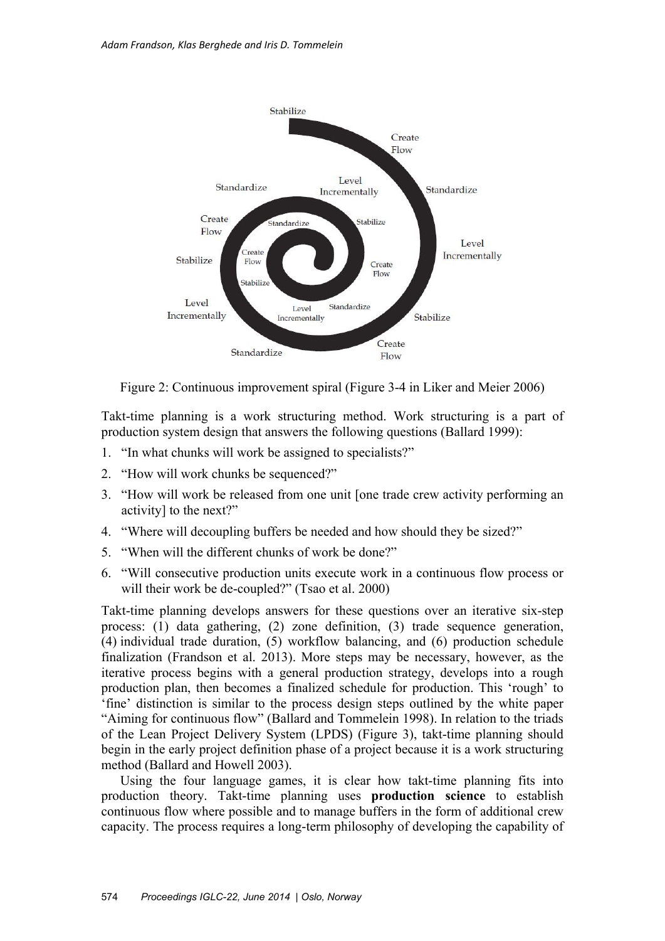

Figure 2: Continuous improvement spiral (Figure 3-4 in Liker and Meier 2006)

Takt-time planning is a work structuring method. Work structuring is a part of production system design that answers the following questions (Ballard 1999):

- 1. "In what chunks will work be assigned to specialists?"
- 2. "How will work chunks be sequenced?"
- 3. "How will work be released from one unit [one trade crew activity performing an activity] to the next?"
- 4. "Where will decoupling buffers be needed and how should they be sized?"
- 5. "When will the different chunks of work be done?"
- 6. "Will consecutive production units execute work in a continuous flow process or will their work be de-coupled?" (Tsao et al. 2000)

Takt-time planning develops answers for these questions over an iterative six-step process: (1) data gathering, (2) zone definition, (3) trade sequence generation, (4) individual trade duration, (5) workflow balancing, and (6) production schedule finalization (Frandson et al. 2013). More steps may be necessary, however, as the iterative process begins with a general production strategy, develops into a rough production plan, then becomes a finalized schedule for production. This 'rough' to 'fine' distinction is similar to the process design steps outlined by the white paper "Aiming for continuous flow" (Ballard and Tommelein 1998). In relation to the triads of the Lean Project Delivery System (LPDS) (Figure 3), takt-time planning should begin in the early project definition phase of a project because it is a work structuring method (Ballard and Howell 2003).

Using the four language games, it is clear how takt-time planning fits into production theory. Takt-time planning uses **production science** to establish continuous flow where possible and to manage buffers in the form of additional crew capacity. The process requires a long-term philosophy of developing the capability of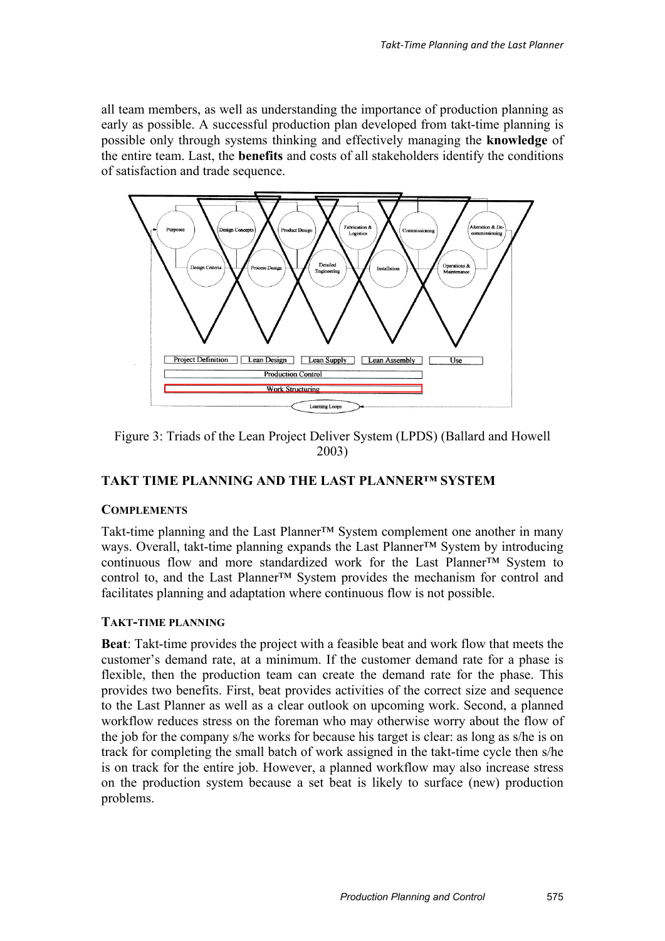all team members, as well as understanding the importance of production planning as early as possible. A successful production plan developed from takt-time planning is possible only through systems thinking and effectively managing the **knowledge** of the entire team. Last, the **benefits** and costs of all stakeholders identify the conditions of satisfaction and trade sequence.



Figure 3: Triads of the Lean Project Deliver System (LPDS) (Ballard and Howell 2003)

# **TAKT TIME PLANNING AND THE LAST PLANNER™ SYSTEM**

## **COMPLEMENTS**

Takt-time planning and the Last Planner™ System complement one another in many ways. Overall, takt-time planning expands the Last Planner™ System by introducing continuous flow and more standardized work for the Last Planner™ System to control to, and the Last Planner™ System provides the mechanism for control and facilitates planning and adaptation where continuous flow is not possible.

## **TAKT-TIME PLANNING**

**Beat**: Takt-time provides the project with a feasible beat and work flow that meets the customer's demand rate, at a minimum. If the customer demand rate for a phase is flexible, then the production team can create the demand rate for the phase. This provides two benefits. First, beat provides activities of the correct size and sequence to the Last Planner as well as a clear outlook on upcoming work. Second, a planned workflow reduces stress on the foreman who may otherwise worry about the flow of the job for the company s/he works for because his target is clear: as long as s/he is on track for completing the small batch of work assigned in the takt-time cycle then s/he is on track for the entire job. However, a planned workflow may also increase stress on the production system because a set beat is likely to surface (new) production problems.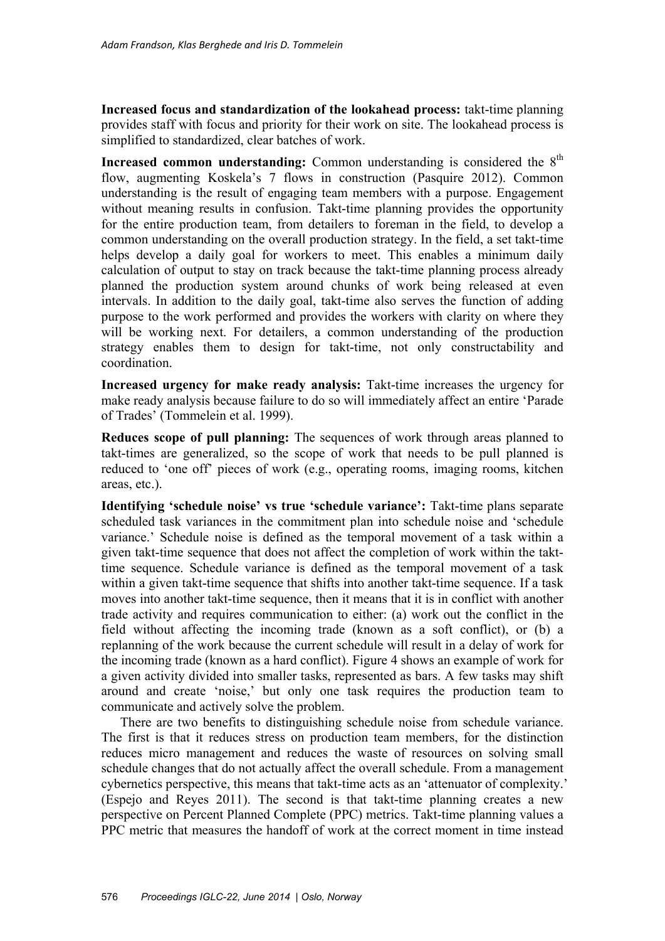**Increased focus and standardization of the lookahead process:** takt-time planning provides staff with focus and priority for their work on site. The lookahead process is simplified to standardized, clear batches of work.

**Increased common understanding:** Common understanding is considered the 8<sup>th</sup> flow, augmenting Koskela's 7 flows in construction (Pasquire 2012). Common understanding is the result of engaging team members with a purpose. Engagement without meaning results in confusion. Takt-time planning provides the opportunity for the entire production team, from detailers to foreman in the field, to develop a common understanding on the overall production strategy. In the field, a set takt-time helps develop a daily goal for workers to meet. This enables a minimum daily calculation of output to stay on track because the takt-time planning process already planned the production system around chunks of work being released at even intervals. In addition to the daily goal, takt-time also serves the function of adding purpose to the work performed and provides the workers with clarity on where they will be working next. For detailers, a common understanding of the production strategy enables them to design for takt-time, not only constructability and coordination.

**Increased urgency for make ready analysis:** Takt-time increases the urgency for make ready analysis because failure to do so will immediately affect an entire 'Parade of Trades' (Tommelein et al. 1999).

**Reduces scope of pull planning:** The sequences of work through areas planned to takt-times are generalized, so the scope of work that needs to be pull planned is reduced to 'one off' pieces of work (e.g., operating rooms, imaging rooms, kitchen areas, etc.).

**Identifying 'schedule noise' vs true 'schedule variance':** Takt-time plans separate scheduled task variances in the commitment plan into schedule noise and 'schedule variance.' Schedule noise is defined as the temporal movement of a task within a given takt-time sequence that does not affect the completion of work within the takttime sequence. Schedule variance is defined as the temporal movement of a task within a given takt-time sequence that shifts into another takt-time sequence. If a task moves into another takt-time sequence, then it means that it is in conflict with another trade activity and requires communication to either: (a) work out the conflict in the field without affecting the incoming trade (known as a soft conflict), or (b) a replanning of the work because the current schedule will result in a delay of work for the incoming trade (known as a hard conflict). Figure 4 shows an example of work for a given activity divided into smaller tasks, represented as bars. A few tasks may shift around and create 'noise,' but only one task requires the production team to communicate and actively solve the problem.

There are two benefits to distinguishing schedule noise from schedule variance. The first is that it reduces stress on production team members, for the distinction reduces micro management and reduces the waste of resources on solving small schedule changes that do not actually affect the overall schedule. From a management cybernetics perspective, this means that takt-time acts as an 'attenuator of complexity.' (Espejo and Reyes 2011). The second is that takt-time planning creates a new perspective on Percent Planned Complete (PPC) metrics. Takt-time planning values a PPC metric that measures the handoff of work at the correct moment in time instead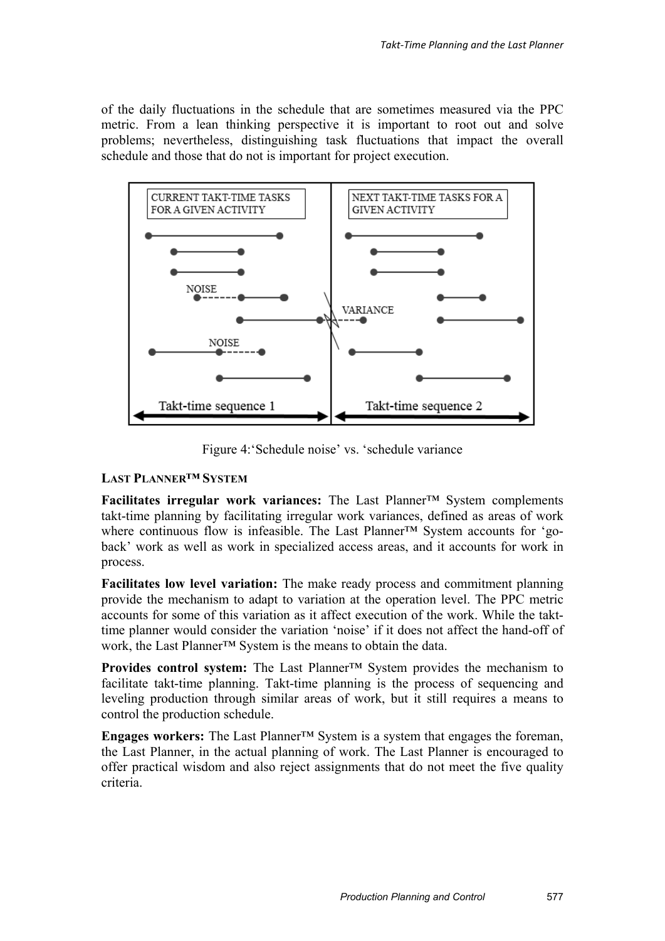of the daily fluctuations in the schedule that are sometimes measured via the PPC metric. From a lean thinking perspective it is important to root out and solve problems; nevertheless, distinguishing task fluctuations that impact the overall schedule and those that do not is important for project execution.



Figure 4:'Schedule noise' vs. 'schedule variance

## **LAST PLANNER™ SYSTEM**

**Facilitates irregular work variances:** The Last Planner™ System complements takt-time planning by facilitating irregular work variances, defined as areas of work where continuous flow is infeasible. The Last Planner™ System accounts for 'goback' work as well as work in specialized access areas, and it accounts for work in process.

**Facilitates low level variation:** The make ready process and commitment planning provide the mechanism to adapt to variation at the operation level. The PPC metric accounts for some of this variation as it affect execution of the work. While the takttime planner would consider the variation 'noise' if it does not affect the hand-off of work, the Last Planner™ System is the means to obtain the data.

**Provides control system:** The Last Planner™ System provides the mechanism to facilitate takt-time planning. Takt-time planning is the process of sequencing and leveling production through similar areas of work, but it still requires a means to control the production schedule.

**Engages workers:** The Last Planner™ System is a system that engages the foreman, the Last Planner, in the actual planning of work. The Last Planner is encouraged to offer practical wisdom and also reject assignments that do not meet the five quality criteria.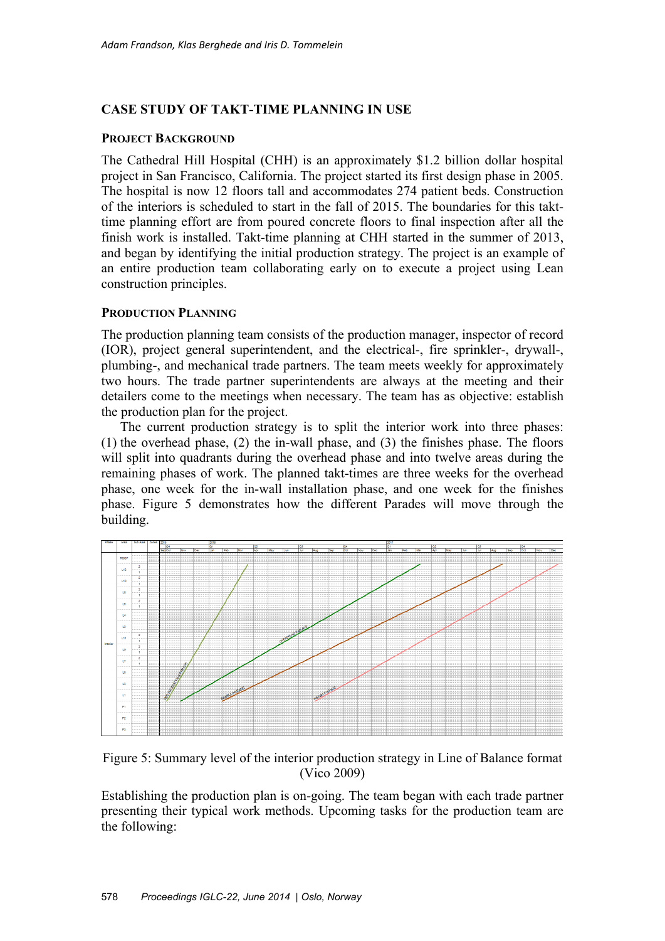## **CASE STUDY OF TAKT-TIME PLANNING IN USE**

#### **PROJECT BACKGROUND**

The Cathedral Hill Hospital (CHH) is an approximately \$1.2 billion dollar hospital project in San Francisco, California. The project started its first design phase in 2005. The hospital is now 12 floors tall and accommodates 274 patient beds. Construction of the interiors is scheduled to start in the fall of 2015. The boundaries for this takttime planning effort are from poured concrete floors to final inspection after all the finish work is installed. Takt-time planning at CHH started in the summer of 2013, and began by identifying the initial production strategy. The project is an example of an entire production team collaborating early on to execute a project using Lean construction principles.

## **PRODUCTION PLANNING**

The production planning team consists of the production manager, inspector of record (IOR), project general superintendent, and the electrical-, fire sprinkler-, drywall-, plumbing-, and mechanical trade partners. The team meets weekly for approximately two hours. The trade partner superintendents are always at the meeting and their detailers come to the meetings when necessary. The team has as objective: establish the production plan for the project.

The current production strategy is to split the interior work into three phases: (1) the overhead phase, (2) the in-wall phase, and (3) the finishes phase. The floors will split into quadrants during the overhead phase and into twelve areas during the remaining phases of work. The planned takt-times are three weeks for the overhead phase, one week for the in-wall installation phase, and one week for the finishes phase. Figure 5 demonstrates how the different Parades will move through the building.



Figure 5: Summary level of the interior production strategy in Line of Balance format (Vico 2009)

Establishing the production plan is on-going. The team began with each trade partner presenting their typical work methods. Upcoming tasks for the production team are the following: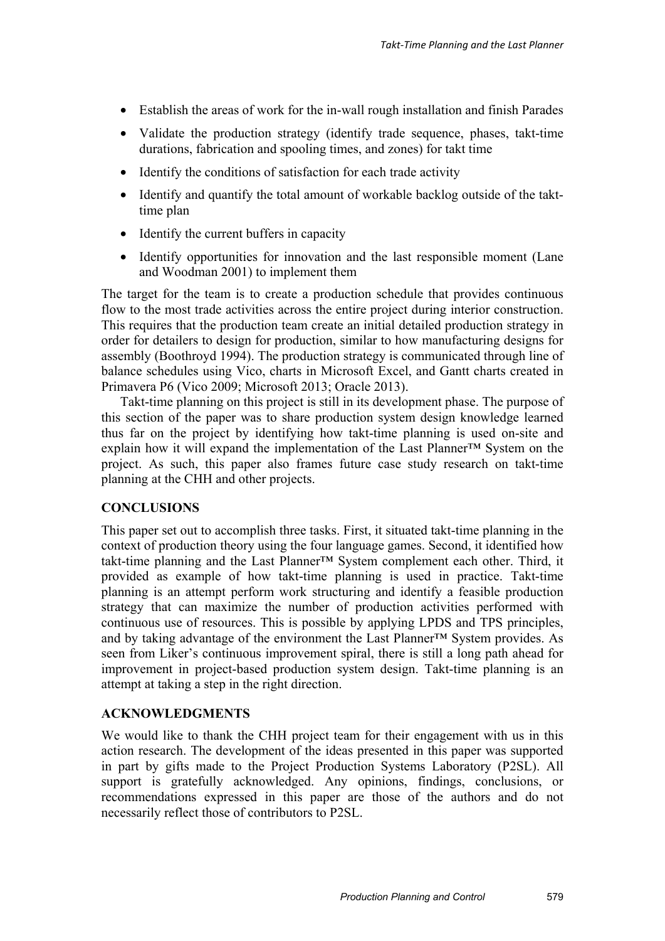- Establish the areas of work for the in-wall rough installation and finish Parades
- Validate the production strategy (identify trade sequence, phases, takt-time durations, fabrication and spooling times, and zones) for takt time
- Identify the conditions of satisfaction for each trade activity
- Identify and quantify the total amount of workable backlog outside of the takttime plan
- Identify the current buffers in capacity
- Identify opportunities for innovation and the last responsible moment (Lane and Woodman 2001) to implement them

The target for the team is to create a production schedule that provides continuous flow to the most trade activities across the entire project during interior construction. This requires that the production team create an initial detailed production strategy in order for detailers to design for production, similar to how manufacturing designs for assembly (Boothroyd 1994). The production strategy is communicated through line of balance schedules using Vico, charts in Microsoft Excel, and Gantt charts created in Primavera P6 (Vico 2009; Microsoft 2013; Oracle 2013).

Takt-time planning on this project is still in its development phase. The purpose of this section of the paper was to share production system design knowledge learned thus far on the project by identifying how takt-time planning is used on-site and explain how it will expand the implementation of the Last Planner™ System on the project. As such, this paper also frames future case study research on takt-time planning at the CHH and other projects.

## **CONCLUSIONS**

This paper set out to accomplish three tasks. First, it situated takt-time planning in the context of production theory using the four language games. Second, it identified how takt-time planning and the Last Planner™ System complement each other. Third, it provided as example of how takt-time planning is used in practice. Takt-time planning is an attempt perform work structuring and identify a feasible production strategy that can maximize the number of production activities performed with continuous use of resources. This is possible by applying LPDS and TPS principles, and by taking advantage of the environment the Last Planner™ System provides. As seen from Liker's continuous improvement spiral, there is still a long path ahead for improvement in project-based production system design. Takt-time planning is an attempt at taking a step in the right direction.

## **ACKNOWLEDGMENTS**

We would like to thank the CHH project team for their engagement with us in this action research. The development of the ideas presented in this paper was supported in part by gifts made to the Project Production Systems Laboratory (P2SL). All support is gratefully acknowledged. Any opinions, findings, conclusions, or recommendations expressed in this paper are those of the authors and do not necessarily reflect those of contributors to P2SL.